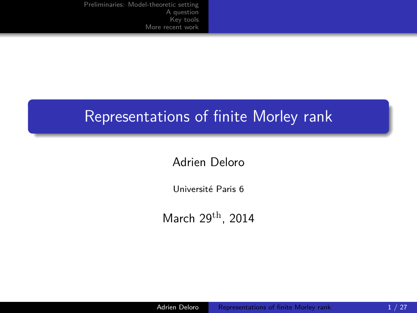[Preliminaries: Model-theoretic setting](#page-2-0) [A question](#page-8-0) [Key tools](#page-13-0) [More recent work](#page-20-0)

### Representations of finite Morley rank

#### Adrien Deloro

Université Paris 6

<span id="page-0-0"></span>March  $29<sup>th</sup>$ , 2014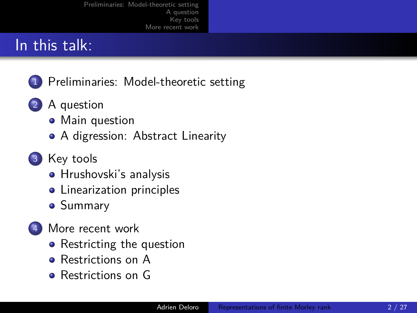[Preliminaries: Model-theoretic setting](#page-2-0) [A question](#page-8-0) [Key tools](#page-13-0) [More recent work](#page-20-0)

## In this talk:

- 1 [Preliminaries: Model-theoretic setting](#page-2-0)
- 2 [A question](#page-8-0)
	- [Main question](#page-8-0)
	- [A digression: Abstract Linearity](#page-10-0)
- 3 [Key tools](#page-13-0)
	- **•** [Hrushovski's analysis](#page-13-0)
	- [Linearization principles](#page-15-0)
	- **•** [Summary](#page-19-0)
- [More recent work](#page-20-0)
	- [Restricting the question](#page-20-0)
	- [Restrictions on A](#page-21-0)
	- [Restrictions on G](#page-23-0)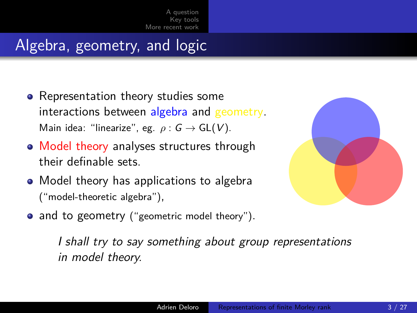[A question](#page-8-0) [Key tools](#page-13-0) [More recent work](#page-20-0)

# Algebra, geometry, and logic

- Representation theory studies some interactions between algebra and geometry. Main idea: "linearize", eg. *ρ* : G → GL(V).
- Model theory analyses structures through their definable sets.
- Model theory has applications to algebra ("model-theoretic algebra"),
- and to geometry ("geometric model theory").

<span id="page-2-0"></span>

I shall try to say something about group representations in model theory.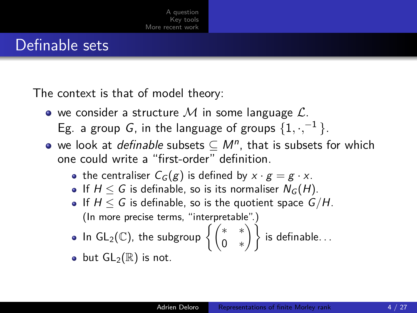### Definable sets

The context is that of model theory:

- $\bullet$  we consider a structure  $\mathcal M$  in some language  $\mathcal L$ . Eg. a group *G*, in the language of groups  $\{1, \cdot, ^{-1}\}$ .
- we look at *definable* subsets  $\subseteq M^n$ , that is subsets for which one could write a "first-order" definition.
	- the centraliser  $C_G(g)$  is defined by  $x \cdot g = g \cdot x$ .
	- If  $H \leq G$  is definable, so is its normaliser  $N_G(H)$ .
	- If  $H \leq G$  is definable, so is the quotient space  $G/H$ . (In more precise terms, "interpretable".)

• In GL<sub>2</sub>(
$$
\mathbb{C}
$$
), the subgroup  $\left\{ \begin{pmatrix} * & * \\ 0 & * \end{pmatrix} \right\}$  is definable...

• but  $GL_2(\mathbb{R})$  is not.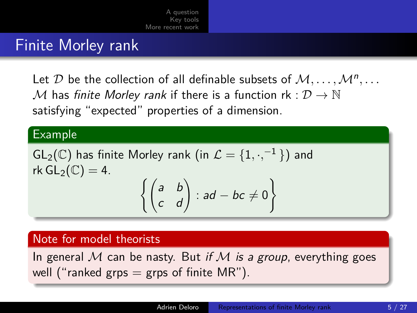[A question](#page-8-0) [Key tools](#page-13-0) [More recent work](#page-20-0)

### Finite Morley rank

Let  $\mathcal D$  be the collection of all definable subsets of  $\mathcal M,\ldots,\mathcal M^n,\ldots$ M has finite Morley rank if there is a function rk :  $\mathcal{D} \to \mathbb{N}$ satisfying "expected" properties of a dimension.

#### Example

$$
GL_2(\mathbb{C}) \text{ has finite Morley rank (in } \mathcal{L} = \{1, \cdot, ^{-1}\}) \text{ and } \text{rk } GL_2(\mathbb{C}) = 4.
$$
\n
$$
\left\{ \begin{pmatrix} a & b \\ c & d \end{pmatrix} : ad - bc \neq 0 \right\}
$$

#### Note for model theorists

In general M can be nasty. But if M is a group, everything goes well ("ranked grps = grps of finite  $MR$ ").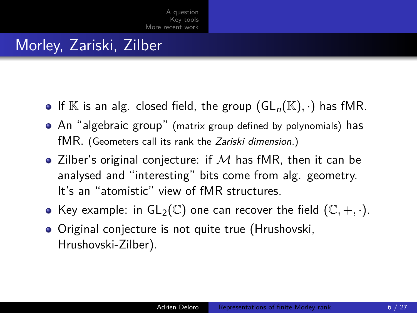# Morley, Zariski, Zilber

- If  $\mathbb K$  is an alg. closed field, the group  $(GL_n(\mathbb K),\cdot)$  has fMR.
- An "algebraic group" (matrix group defined by polynomials) has fMR. (Geometers call its rank the Zariski dimension.)
- Zilber's original conjecture: if  $M$  has fMR, then it can be analysed and "interesting" bits come from alg. geometry. It's an "atomistic" view of fMR structures.
- Key example: in  $GL_2(\mathbb{C})$  one can recover the field  $(\mathbb{C}, +, \cdot)$ .
- Original conjecture is not quite true (Hrushovski, Hrushovski-Zilber).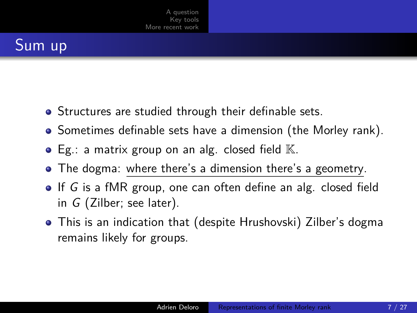# Sum up

- Structures are studied through their definable sets.
- Sometimes definable sets have a dimension (the Morley rank).
- $\bullet$  Eg.: a matrix group on an alg. closed field  $\mathbb{K}$ .
- The dogma: where there's a dimension there's a geometry.
- $\bullet$  If G is a fMR group, one can often define an alg. closed field in G (Zilber; see later).
- This is an indication that (despite Hrushovski) Zilber's dogma remains likely for groups.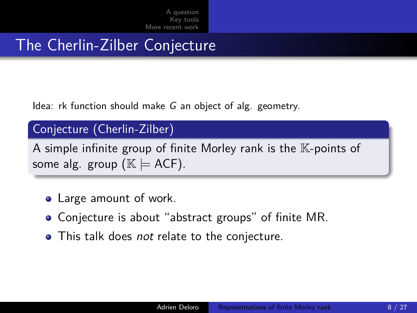[A question](#page-8-0) [Key tools](#page-13-0) [More recent work](#page-20-0)

## The Cherlin-Zilber Conjecture

Idea: rk function should make G an object of alg. geometry.

### Conjecture (Cherlin-Zilber)

A simple infinite group of finite Morley rank is the  $K$ -points of some alg. group ( $\mathbb{K} \models$  ACF).

- Large amount of work.
- Conjecture is about "abstract groups" of finite MR.
- This talk does *not* relate to the conjecture.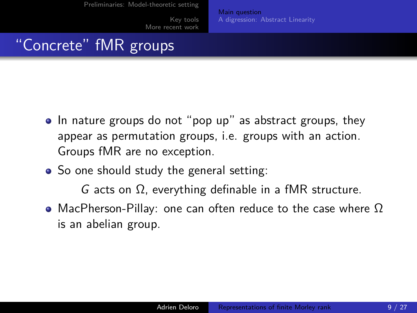[More recent work](#page-20-0)

[Main question](#page-8-0) [A digression: Abstract Linearity](#page-10-0)

### "Concrete" fMR groups

- In nature groups do not "pop up" as abstract groups, they appear as permutation groups, i.e. groups with an action. Groups fMR are no exception.
- So one should study the general setting:

<span id="page-8-0"></span>G acts on Ω, everything definable in a fMR structure.

• MacPherson-Pillay: one can often reduce to the case where  $\Omega$ is an abelian group.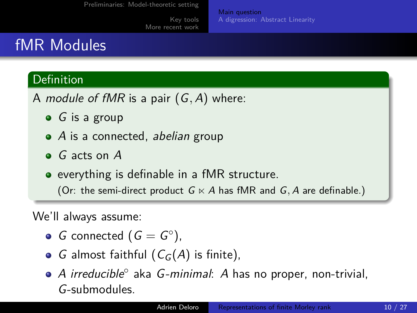[More recent work](#page-20-0)

[Main question](#page-8-0) [A digression: Abstract Linearity](#page-10-0)

# fMR Modules

### Definition

A module of fMR is a pair (G*,* A) where:

- $\bullet$  G is a group
- $\bullet$  A is a connected, abelian group
- G acts on A
- everything is definable in a fMR structure.

(Or: the semi-direct product  $G \ltimes A$  has fMR and  $G$ , A are definable.)

We'll always assume:

- G connected  $(G = G^{\circ})$ ,
- G almost faithful  $(C_G(A))$  is finite),
- A irreducible° aka G-minimal: A has no proper, non-trivial, G-submodules.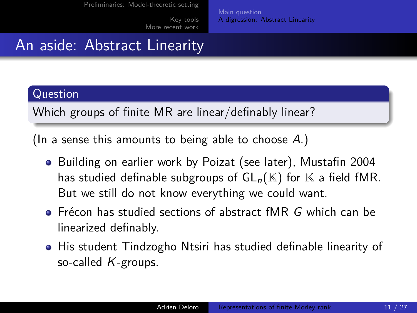[More recent work](#page-20-0)

[Main question](#page-8-0) [A digression: Abstract Linearity](#page-10-0)

# An aside: Abstract Linearity

#### Question

Which groups of finite MR are linear/definably linear?

(In a sense this amounts to being able to choose  $A$ .)

- Building on earlier work by Poizat (see later), Mustafin 2004 has studied definable subgroups of  $GL_n(\mathbb{K})$  for  $\mathbb K$  a field fMR. But we still do not know everything we could want.
- $\bullet$  Frécon has studied sections of abstract fMR G which can be linearized definably.
- <span id="page-10-0"></span>His student Tindzogho Ntsiri has studied definable linearity of so-called  $K$ -groups.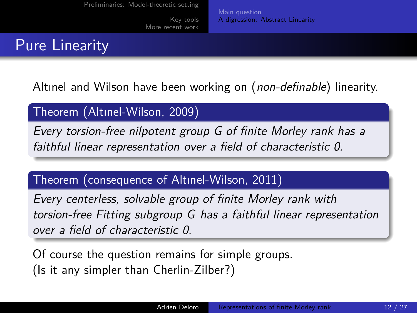[More recent work](#page-20-0)

[Main question](#page-8-0) [A digression: Abstract Linearity](#page-10-0)

## Pure Linearity

Altınel and Wilson have been working on (non-definable) linearity.

### Theorem (Altınel-Wilson, 2009)

Every torsion-free nilpotent group G of finite Morley rank has a faithful linear representation over a field of characteristic 0.

### Theorem (consequence of Altınel-Wilson, 2011)

Every centerless, solvable group of finite Morley rank with torsion-free Fitting subgroup G has a faithful linear representation over a field of characteristic 0.

Of course the question remains for simple groups. (Is it any simpler than Cherlin-Zilber?)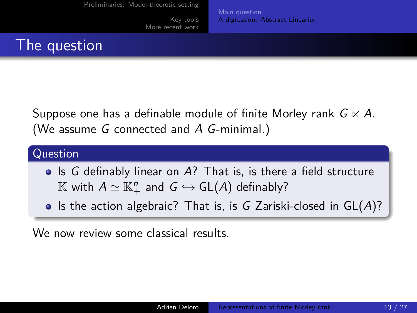[More recent work](#page-20-0)

[Main question](#page-8-0) [A digression: Abstract Linearity](#page-10-0)

## The question

Suppose one has a definable module of finite Morley rank  $G \ltimes A$ . (We assume G connected and A G-minimal.)

#### Question

- Is G definably linear on A? That is, is there a field structure  $\mathbb K$  with  $A\simeq \mathbb K_+^n$  and  $G\hookrightarrow \mathsf{GL}(A)$  definably?
- Is the action algebraic? That is, is G Zariski-closed in  $GL(A)$ ?

We now review some classical results.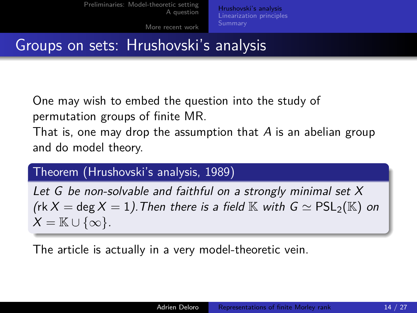[Preliminaries: Model-theoretic setting](#page-2-0) [A question](#page-8-0) [Hrushovski's analysis](#page-13-0) [Linearization principles](#page-15-0)

[More recent work](#page-20-0)

<span id="page-13-0"></span>

### Groups on sets: Hrushovski's analysis

One may wish to embed the question into the study of permutation groups of finite MR.

That is, one may drop the assumption that A is an abelian group and do model theory.

### Theorem (Hrushovski's analysis, 1989)

Let G be non-solvable and faithful on a strongly minimal set X (rk X = deg X = 1). Then there is a field  $\mathbb K$  with  $G \simeq PSL_2(\mathbb K)$  on  $X = \mathbb{K} \cup \{\infty\}.$ 

The article is actually in a very model-theoretic vein.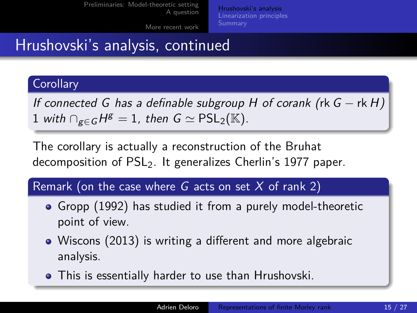[Preliminaries: Model-theoretic setting](#page-2-0) [A question](#page-8-0) [Hrushovski's analysis](#page-13-0) [Linearization principles](#page-15-0)

[More recent work](#page-20-0)

# Hrushovski's analysis, continued

#### **Corollary**

If connected G has a definable subgroup H of corank (rk  $G - \text{rk } H$ ) 1 with  $\bigcap_{g\in G} H^g = 1$ , then  $G \simeq \sf{PSL}_2(\mathbb{K})$ .

The corollary is actually a reconstruction of the Bruhat decomposition of  $PSL<sub>2</sub>$ . It generalizes Cherlin's 1977 paper.

Remark (on the case where G acts on set X of rank 2)

- Gropp (1992) has studied it from a purely model-theoretic point of view.
- Wiscons (2013) is writing a different and more algebraic analysis.
- This is essentially harder to use than Hrushovski.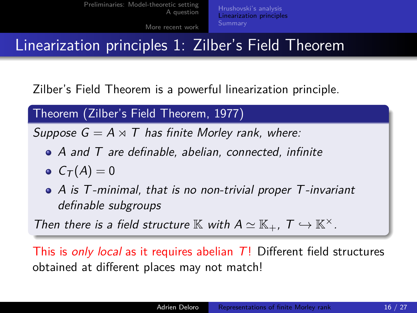# Linearization principles 1: Zilber's Field Theorem

Zilber's Field Theorem is a powerful linearization principle.

### Theorem (Zilber's Field Theorem, 1977)

Suppose  $G = A \rtimes T$  has finite Morley rank, where:

- A and T are definable, abelian, connected, infinite
- $C_{\mathcal{T}}(A)=0$
- A is T-minimal, that is no non-trivial proper T-invariant definable subgroups

Then there is a field structure  $\mathbb K$  with  $A \simeq \mathbb K_+$ ,  $T \hookrightarrow \mathbb K^\times$ .

<span id="page-15-0"></span>This is only local as it requires abelian  $T!$  Different field structures obtained at different places may not match!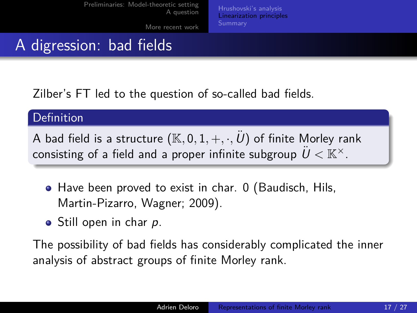[Preliminaries: Model-theoretic setting](#page-2-0) [A question](#page-8-0) [More recent work](#page-20-0) [Hrushovski's analysis](#page-13-0) [Linearization principles](#page-15-0)

# A digression: bad fields

Zilber's FT led to the question of so-called bad fields.

#### Definition

A bad field is a structure  $(\mathbb{K}, 0, 1, +, \cdot, \ddot{\mathcal{U}})$  of finite Morley rank consisting of a field and a proper infinite subgroup  $\ddot{U} \lt \mathbb{K}^{\times}$ .

- Have been proved to exist in char. 0 (Baudisch, Hils, Martin-Pizarro, Wagner; 2009).
- Still open in char p.

The possibility of bad fields has considerably complicated the inner analysis of abstract groups of finite Morley rank.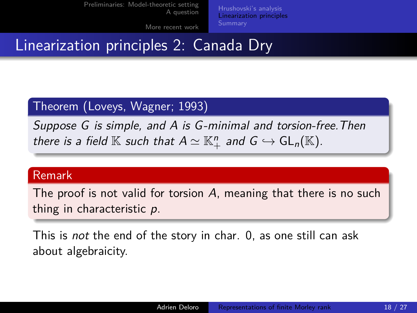[Preliminaries: Model-theoretic setting](#page-2-0) [A question](#page-8-0)

[Hrushovski's analysis](#page-13-0) [Linearization principles](#page-15-0)

[More recent work](#page-20-0)

### Linearization principles 2: Canada Dry

### Theorem (Loveys, Wagner; 1993)

Suppose G is simple, and A is G-minimal and torsion-free. Then there is a field  $\mathbb K$  such that  $A\simeq \mathbb K_+^n$  and  $G\hookrightarrow \mathsf{GL}_n(\mathbb K).$ 

#### Remark

The proof is not valid for torsion A, meaning that there is no such thing in characteristic p.

This is not the end of the story in char. 0, as one still can ask about algebraicity.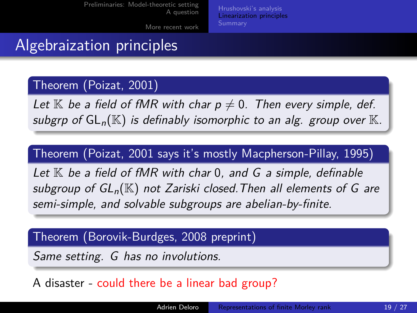[Preliminaries: Model-theoretic setting](#page-2-0) [A question](#page-8-0) [More recent work](#page-20-0) [Hrushovski's analysis](#page-13-0) [Linearization principles](#page-15-0)

### Algebraization principles

### Theorem (Poizat, 2001)

Let  $\mathbb K$  be a field of fMR with char  $p\neq 0$ . Then every simple, def. subgrp of  $GL_n(\mathbb{K})$  is definably isomorphic to an alg. group over  $\mathbb{K}$ .

### Theorem (Poizat, 2001 says it's mostly Macpherson-Pillay, 1995)

Let  $K$  be a field of fMR with char 0, and G a simple, definable subgroup of  $GL_n(\mathbb{K})$  not Zariski closed. Then all elements of G are semi-simple, and solvable subgroups are abelian-by-finite.

#### Theorem (Borovik-Burdges, 2008 preprint)

Same setting. G has no involutions.

#### A disaster - could there be a linear bad group?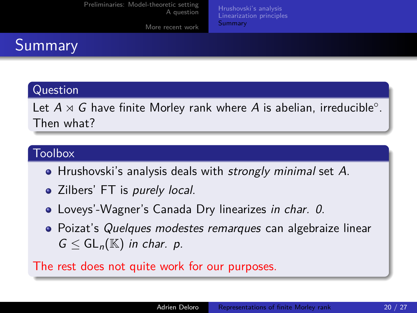|  | Preliminaries: Model-theoretic setting<br>A question | Hrushovski's analysis<br>Linearization principles<br>Summary |
|--|------------------------------------------------------|--------------------------------------------------------------|
|  | More recent work                                     |                                                              |

# Summary

#### Question

Let  $A \rtimes G$  have finite Morley rank where  $A$  is abelian, irreducible°. Then what?

#### **Toolbox**

- Hrushovski's analysis deals with *strongly minimal* set A.
- Zilbers' FT is purely local.
- Loveys'-Wagner's Canada Dry linearizes in char. 0.
- <span id="page-19-0"></span>• Poizat's Quelques modestes remarques can algebraize linear  $G \leq GL_n(\mathbb{K})$  in char. p.

The rest does not quite work for our purposes.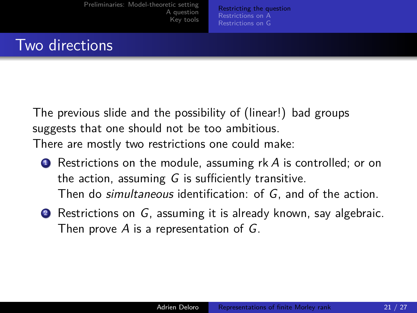[Preliminaries: Model-theoretic setting](#page-2-0) [A question](#page-8-0) [Key tools](#page-13-0)

<span id="page-20-0"></span>[Restricting the question](#page-20-0) [Restrictions on A](#page-21-0) [Restrictions on G](#page-23-0)

### Two directions

The previous slide and the possibility of (linear!) bad groups suggests that one should not be too ambitious. There are mostly two restrictions one could make:

- $\bullet$  Restrictions on the module, assuming rk A is controlled; or on the action, assuming  $G$  is sufficiently transitive. Then do simultaneous identification: of G, and of the action.
- 2 Restrictions on G, assuming it is already known, say algebraic. Then prove  $A$  is a representation of  $G$ .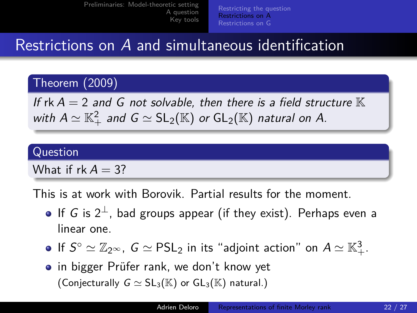[Preliminaries: Model-theoretic setting](#page-2-0) [A question](#page-8-0) [Key tools](#page-13-0) [Restricting the question](#page-20-0) [Restrictions on A](#page-21-0) [Restrictions on G](#page-23-0)

### Restrictions on A and simultaneous identification

### Theorem (2009)

If rk  $A = 2$  and G not solvable, then there is a field structure  $\mathbb K$ with  $A\simeq \mathbb{K}_+^2$  and  $G\simeq \mathsf{SL}_2(\mathbb{K})$  or  $\mathsf{GL}_2(\mathbb{K})$  natural on  $A.$ 

#### Question

What if  $rk A = 3$ ?

This is at work with Borovik. Partial results for the moment.

- If G is  $2^{\perp}$ , bad groups appear (if they exist). Perhaps even a linear one.
- If  $S^{\circ} \simeq \mathbb{Z}_{2^{\infty}}$ ,  $G \simeq \mathsf{PSL}_2$  in its "adjoint action" on  $A \simeq \mathbb{K}^3_+.$
- <span id="page-21-0"></span>• in bigger Prüfer rank, we don't know yet (Conjecturally  $G \simeq SL_3(\mathbb{K})$  or  $GL_3(\mathbb{K})$  natural.)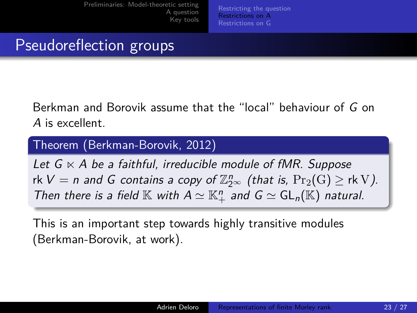[Preliminaries: Model-theoretic setting](#page-2-0) [A question](#page-8-0) [Key tools](#page-13-0)

[Restricting the question](#page-20-0) [Restrictions on A](#page-21-0) [Restrictions on G](#page-23-0)

### Pseudoreflection groups

Berkman and Borovik assume that the "local" behaviour of G on A is excellent.

Theorem (Berkman-Borovik, 2012)

Let  $G \ltimes A$  be a faithful, irreducible module of fMR. Suppose rk  $V = n$  and G contains a copy of  $\mathbb{Z}_{2^{\infty}}^n$  (that is,  $\Pr_2(G) \geq$  rk V). Then there is a field  $\mathbb K$  with  $A \simeq \mathbb K_+^n$  and  $G \simeq GL_n(\mathbb K)$  natural.

This is an important step towards highly transitive modules (Berkman-Borovik, at work).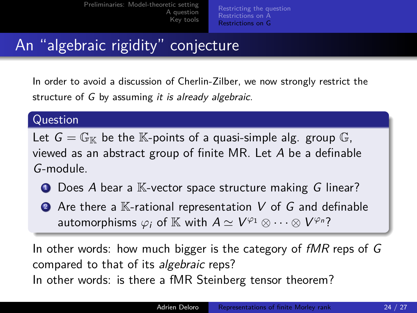[Preliminaries: Model-theoretic setting](#page-2-0) [A question](#page-8-0) [Key tools](#page-13-0) [Restricting the question](#page-20-0) [Restrictions on A](#page-21-0) [Restrictions on G](#page-23-0)

# An "algebraic rigidity" conjecture

In order to avoid a discussion of Cherlin-Zilber, we now strongly restrict the structure of G by assuming it is already algebraic.

#### Question

Let  $G = \mathbb{G}_{\mathbb{K}}$  be the K-points of a quasi-simple alg. group G, viewed as an abstract group of finite MR. Let A be a definable G-module.

- $\bullet$  Does A bear a  $\mathbb K$ -vector space structure making G linear?
- $\bullet$  Are there a  $\mathbb K$ -rational representation V of G and definable automorphisms  $\varphi_i$  of  $\mathbb K$  with  $A \simeq V^{\varphi_1} \otimes \cdots \otimes V^{\varphi_n}$ ?

<span id="page-23-0"></span>In other words: how much bigger is the category of  $fMR$  reps of  $G$ compared to that of its algebraic reps? In other words: is there a fMR Steinberg tensor theorem?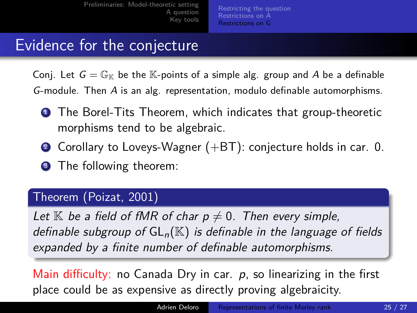[Preliminaries: Model-theoretic setting](#page-2-0) [A question](#page-8-0) [Key tools](#page-13-0)

[Restricting the question](#page-20-0) [Restrictions on A](#page-21-0) [Restrictions on G](#page-23-0)

### Evidence for the conjecture

Conj. Let  $G = \mathbb{G}_{\mathbb{K}}$  be the  $\mathbb{K}$ -points of a simple alg. group and A be a definable G-module. Then A is an alg. representation, modulo definable automorphisms.

- **1** The Borel-Tits Theorem, which indicates that group-theoretic morphisms tend to be algebraic.
- 2 Corollary to Loveys-Wagner  $(+BT)$ : conjecture holds in car. 0.
- **3** The following theorem:

#### Theorem (Poizat, 2001)

Let  $\mathbb K$  be a field of fMR of char  $p\neq 0$ . Then every simple, definable subgroup of  $GL_n(\mathbb{K})$  is definable in the language of fields expanded by a finite number of definable automorphisms.

Main difficulty: no Canada Dry in car.  $p$ , so linearizing in the first place could be as expensive as directly proving algebraicity.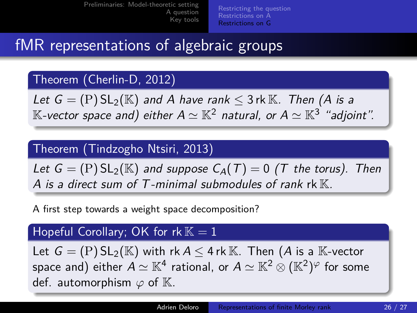[Preliminaries: Model-theoretic setting](#page-2-0) [A question](#page-8-0) [Key tools](#page-13-0) [Restricting the question](#page-20-0) [Restrictions on A](#page-21-0) [Restrictions on G](#page-23-0)

# fMR representations of algebraic groups

### Theorem (Cherlin-D, 2012)

Let  $G = (P) SL_2(K)$  and A have rank  $\leq 3$  rk K. Then (A is a  $\mathbb K$ -vector space and) either  $\mathcal A\simeq \mathbb K^2$  natural, or  $\mathcal A\simeq \mathbb K^3$  "adjoint".

#### Theorem (Tindzogho Ntsiri, 2013)

Let  $G = (P) SL_2(K)$  and suppose  $C_A(T) = 0$  (T the torus). Then A is a direct sum of T-minimal submodules of rank rk  $K$ .

A first step towards a weight space decomposition?

#### Hopeful Corollary; OK for  $rk K = 1$

Let  $G = (P) SL_2(\mathbb{K})$  with rk  $A \leq 4$  rk  $\mathbb{K}$ . Then  $(A \text{ is a } \mathbb{K}\text{-vector})$ space and) either  $A\simeq \mathbb{K}^4$  rational, or  $A\simeq \mathbb{K}^2\otimes (\mathbb{K}^2)^\varphi$  for some def. automorphism  $\varphi$  of K.